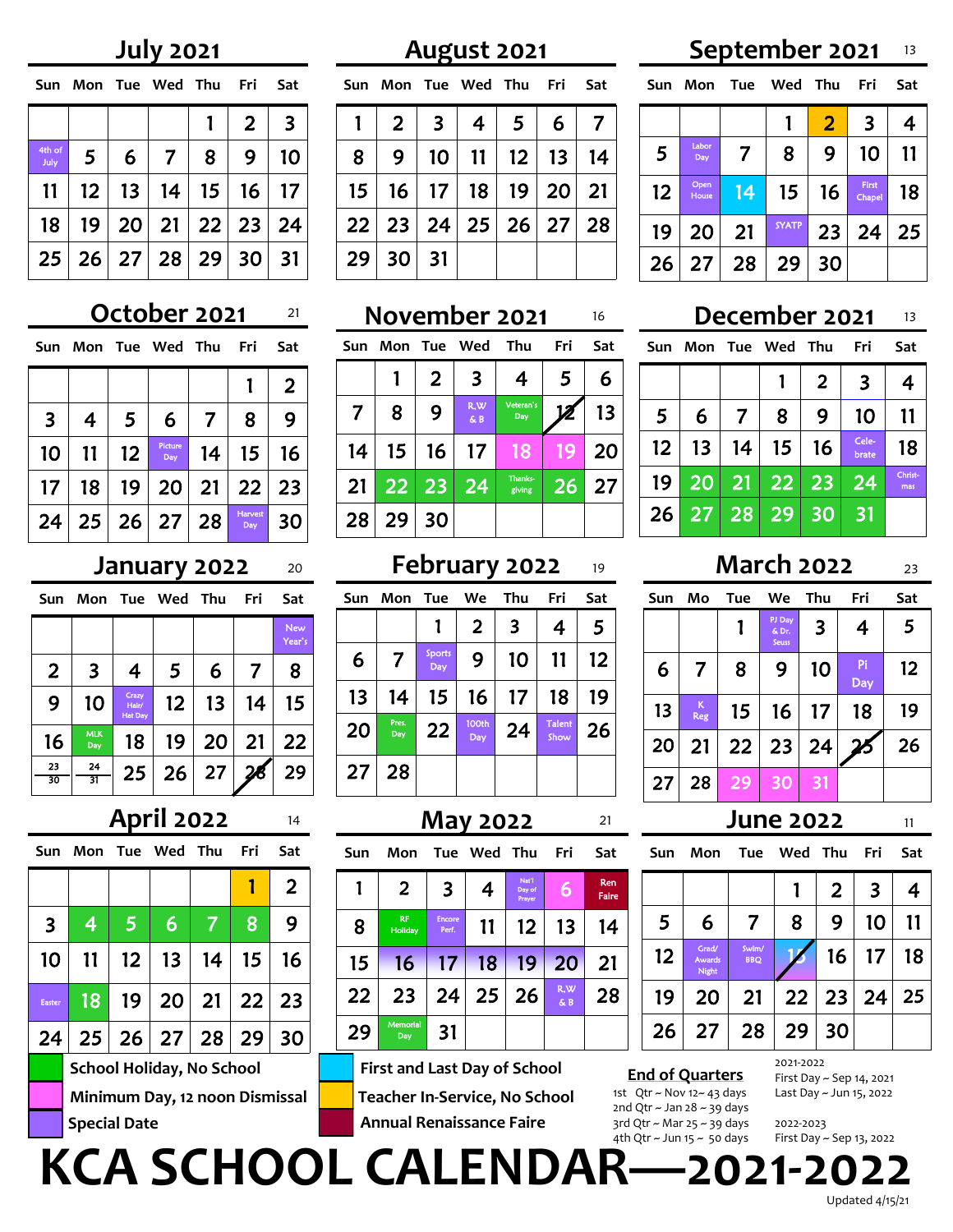# **July 2021**

| Sun             |                |   | Mon Tue Wed Thu          |              | Fri            | Sat |
|-----------------|----------------|---|--------------------------|--------------|----------------|-----|
|                 |                |   |                          | $\mathbf{1}$ | $\overline{2}$ | 3   |
| 4th of<br>July  | 5 <sup>1</sup> | 6 | $\overline{7}$           | 8            | 9              | 10  |
| 11              |                |   | $12$   13   14   15   16 |              |                | 17  |
| 18 <sup>1</sup> |                |   | $19$ 20 21 22 23         |              |                | 24  |
| 25 <sub>1</sub> |                |   | $26$ 27 28 29            |              | 30             | 31  |

# **October 2021**

| Sun             |                        |                 | Mon Tue Wed Thu |                | Fri            | Sat |
|-----------------|------------------------|-----------------|-----------------|----------------|----------------|-----|
|                 |                        |                 |                 |                |                | 2   |
| $\mathbf{3}$    | 4                      | 5 <sup>5</sup>  | 6               | $\overline{7}$ | 8              | 9   |
| 10 <sub>o</sub> | 11                     | 12              | Picture<br>Day  |                | $14$   15      | 16  |
| 17 <sup>2</sup> | 18                     | 19 <sup>°</sup> |                 |                | 20 21 22       | 23  |
|                 | 24   25   26   27   28 |                 |                 |                | Harvest<br>Day | 30  |

| Sun            | Mon               | Tue                              | Wed Thu           |    | Fri | Sat           |
|----------------|-------------------|----------------------------------|-------------------|----|-----|---------------|
|                |                   |                                  |                   |    |     | New<br>Year's |
| $\overline{2}$ | 3                 | 4                                | 5                 | 6  | 7   | 8             |
| 9              | 10                | Crazy<br>Hair/<br><b>Hat Day</b> | $12 \overline{ }$ | 13 | 14  | 15            |
| 16             | <b>MLK</b><br>Day | 18                               | 19                | 20 | 21  | 22            |
| 23<br>30       | 24<br>31          | 25                               | 26                | 27 |     | 29            |

|                         |                     |                                | <b>April 2022</b>                |    |       | 14             |
|-------------------------|---------------------|--------------------------------|----------------------------------|----|-------|----------------|
|                         | Sun Mon Tue Wed Thu |                                |                                  |    | - Fri | Sat            |
|                         |                     |                                |                                  |    |       | $\overline{2}$ |
| $\overline{\mathbf{3}}$ | $\overline{4}$      | $\overline{5}$                 | 6                                | 17 | 8     | 9              |
| 10                      | 11                  | 12 <sup>1</sup>                | 13 <sup>2</sup>                  | 14 | 15    | 16             |
| <b>Easter</b>           | 18                  |                                | $19$   20   21   22              |    |       | 23             |
| 24                      |                     |                                | $25$   26   27   28   29         |    |       | 30             |
|                         |                     |                                | <b>School Holiday, No School</b> |    |       |                |
|                         |                     | Minimum Day, 12 noon Dismissal |                                  |    |       |                |
|                         | <b>Special Date</b> |                                |                                  |    |       |                |

|   | Sun Mon Tue Wed Thu Fri Sat                   |                            |  |  |
|---|-----------------------------------------------|----------------------------|--|--|
|   | $1 \mid 2 \mid 3 \mid 4 \mid 5 \mid 6 \mid 7$ |                            |  |  |
| 8 |                                               | 9   10   11   12   13   14 |  |  |
|   | $15$   16   17   18   19   20   21            |                            |  |  |
|   | $22$ 23 24 25 26 27 28                        |                            |  |  |
|   | $29$ 30 31                                    |                            |  |  |

| Sun                     | Mon              |                 | Tue Wed    | Thu               | Fri          | Sat |
|-------------------------|------------------|-----------------|------------|-------------------|--------------|-----|
|                         |                  | 2               | 3          | 4                 | 5            | 6   |
| $\overline{\mathbf{7}}$ | 8                | 9               | R,W<br>& B | Veteran's<br>Day  | $\mathbf{z}$ | 13  |
| 14                      | 15 <sub>15</sub> | 16 <sup>1</sup> | 17         | 18                | 19           | 20  |
| 21                      |                  | 22 23           | 24         | Thanks-<br>giving | 26           | 27  |
| 28                      | 29               | 30              |            |                   |              |     |

# **January 2022** 20 **February 2022** 19 **March 2022**

| Sun | Mon Tue      |               | We                       | Thu | Fri                   | Sat |
|-----|--------------|---------------|--------------------------|-----|-----------------------|-----|
|     |              | 1             | 2                        | 3   | 4                     | 5   |
| 6   | 7            | Sports<br>Day | 9                        | 10  | 11                    | 12  |
| 13  | 14           | 15            | 16                       | 17  | 18                    | 19  |
| 20  | Pres.<br>Day | 22            | 100 <sub>th</sub><br>Day | 24  | <b>Talent</b><br>Show | 26  |
| 27  | 28           |               |                          |     |                       |     |

| 14 |     |                      |                        | <b>May 2022</b> |                           |             | 21           |
|----|-----|----------------------|------------------------|-----------------|---------------------------|-------------|--------------|
| at | Sun | Mon                  |                        | Tue Wed Thu     |                           | Fri         | Sat          |
| 2  |     | $\overline{2}$       | 3                      | 4               | Nat'l<br>Day of<br>Prayer | 6           | Ren<br>Faire |
| 9  | 8   | <b>RF</b><br>Holiday | <b>Encore</b><br>Perf. | 11              | 12                        | 13          | 14           |
| 6  | 15  | 16                   | 17 <sup>2</sup>        | 18              | 19                        | 20          | 21           |
| :3 | 22  | 23                   | 24                     | 25              | 26                        | R, W<br>& B | 28           |

**Teacher In-Service, No School School Holiday, No School First and Last Day of School Annual Renaissance Faire**

31

## **August 2021 September 2021** 13

**Sun Mon Tue Wed Thu Fri Sat**  $\begin{array}{|c|c|c|c|c|c|c|c|}\n\hline\n\text{1} & \text{2} & \text{3} & \text{4}\n\end{array}$ 5 Labor<br>Day  $\begin{array}{|c|c|c|c|c|}\n\hline\n\hline\n\hline\n\hline\n\hline\n\hline\n\hline\n\end{array}$  7 | 8 | 9 | 10 | 11 12 Open<br>House  $14$  15 16  $\frac{First}{Chapter 18}$ 19 20 21 SYATP 23 24 25 26 27 28 29 30

## <u><sup>21</sup> November 2021 16 December 2021 13</u> **December 2021**

| Sun             |                 |              | Mon Tue Wed Thu    |    | Fri            | Sat            |
|-----------------|-----------------|--------------|--------------------|----|----------------|----------------|
|                 |                 |              |                    | 2  | 3              | 4              |
| 5 <sup>5</sup>  | 6               | 7            | 8                  | 9  | 10             | 11             |
| 12 <sub>2</sub> | 13 <sup>°</sup> | 14           | 15                 | 16 | Cele-<br>brate | 18             |
| 19              | $2\overline{0}$ |              | $21 \overline{22}$ | 23 | 24             | Christ-<br>mas |
| 26              |                 | 27   28   29 |                    | 30 | 31             |                |

| Sun | Mo       | Tue | We .                     | Thu | Fri       | Sat |
|-----|----------|-----|--------------------------|-----|-----------|-----|
|     |          |     | PJ Day<br>& Dr.<br>Seuss | 3   | 4         | 5   |
| 6   | 7        | 8   | 9                        | 10  | Pi<br>Day | 12  |
| 13  | K<br>Reg | 15  | 16                       | 17  | 18        | 19  |
| 20  | 21       | 22  | 23                       | 24  | 25        | 26  |
| 27  | 28       | 29  | 30                       | 31  |           |     |

## **May 2022 June 2022**

| Sun | Mon                             | Tue                 | Wed | Thu   | Fri                     | Sat |
|-----|---------------------------------|---------------------|-----|-------|-------------------------|-----|
|     |                                 |                     |     | 2     | $\overline{\mathbf{3}}$ | 4   |
| 5   | 6                               | 7                   | 8   | 9     | 10                      | 11  |
| 12  | Grad/<br><b>Awards</b><br>Night | Swim/<br><b>BBQ</b> |     | 16    | 17                      | 18  |
| 19  | 20                              | 21                  |     | 22 23 | 24                      | 25  |
| 26  | 27                              | 28                  | 29  | 30    |                         |     |

## **End of Quarters** 1st Qtr ~ Nov 12~ 43 days 2nd Qtr ~ Jan 28 ~ 39 days 3rd Qtr ~ Mar 25 ~ 39 days 4th Qtr ~ Jun 15 ~ 50 days

2021-2022 First Day ~ Sep 14, 2021 Last Day ~ Jun 15, 2022

2022-2023 First Day ~ Sep 13, 2022

**KCA SCHOOL CALENDAR—2021-2022**

Memorial

29

Updated 4/15/21

11

23